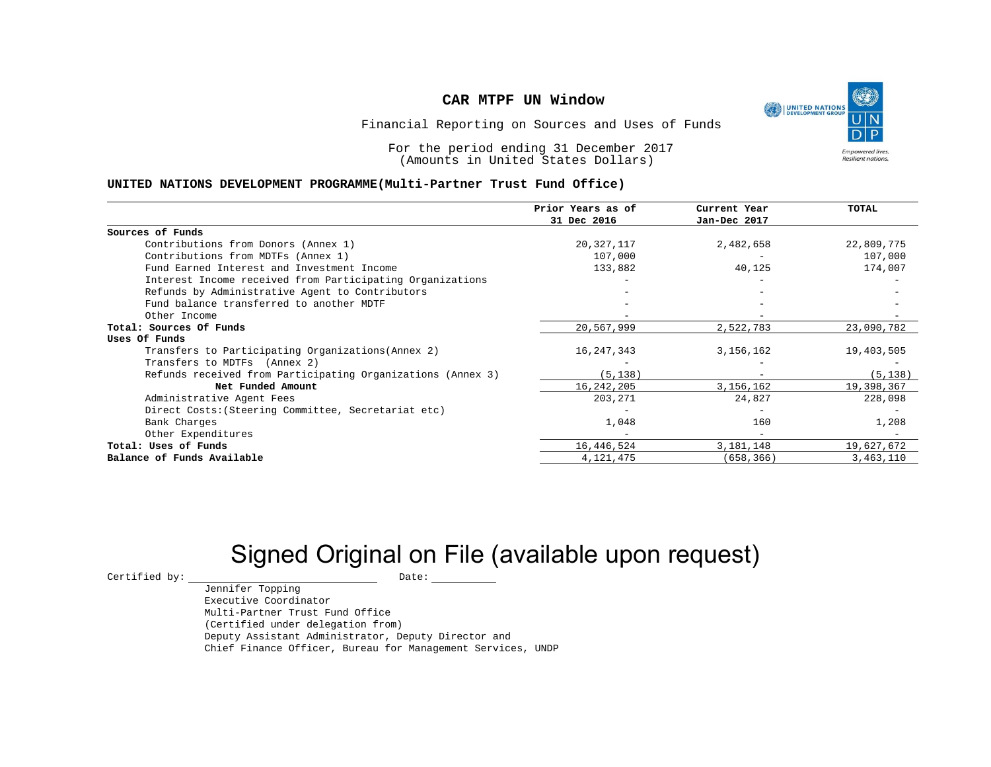

Financial Reporting on Sources and Uses of Funds

For the period ending 31 December 2017 (Amounts in United States Dollars)

#### **UNITED NATIONS DEVELOPMENT PROGRAMME(Multi-Partner Trust Fund Office)**

|                                                             | Prior Years as of<br>31 Dec 2016 | Current Year<br>Jan-Dec 2017 | TOTAL      |
|-------------------------------------------------------------|----------------------------------|------------------------------|------------|
|                                                             |                                  |                              |            |
| Sources of Funds                                            |                                  |                              |            |
| Contributions from Donors (Annex 1)                         | 20, 327, 117                     | 2,482,658                    | 22,809,775 |
| Contributions from MDTFs (Annex 1)                          | 107,000                          |                              | 107,000    |
| Fund Earned Interest and Investment Income                  | 133,882                          | 40,125                       | 174,007    |
| Interest Income received from Participating Organizations   |                                  |                              |            |
| Refunds by Administrative Agent to Contributors             |                                  |                              |            |
| Fund balance transferred to another MDTF                    |                                  |                              |            |
| Other Income                                                |                                  |                              |            |
| Total: Sources Of Funds                                     | 20,567,999                       | 2,522,783                    | 23,090,782 |
| Uses Of Funds                                               |                                  |                              |            |
| Transfers to Participating Organizations (Annex 2)          | 16, 247, 343                     | 3,156,162                    | 19,403,505 |
| Transfers to MDTFs (Annex 2)                                |                                  |                              |            |
| Refunds received from Participating Organizations (Annex 3) | (5, 138)                         |                              | (5, 138)   |
| Net Funded Amount                                           | 16, 242, 205                     | 3,156,162                    | 19,398,367 |
| Administrative Agent Fees                                   | 203,271                          | 24,827                       | 228,098    |
| Direct Costs: (Steering Committee, Secretariat etc)         |                                  |                              |            |
| Bank Charges                                                | 1,048                            | 160                          | 1,208      |
| Other Expenditures                                          |                                  |                              |            |
| Total: Uses of Funds                                        | 16,446,524                       | 3,181,148                    | 19,627,672 |
| Balance of Funds Available                                  | 4, 121, 475                      | (658, 366)                   | 3,463,110  |

# Signed Original on File (available upon request)

 $\begin{tabular}{ccccc} \multicolumn{2}{c|}{\textbf{Certified by:}} & & \multicolumn{2}{c|}{\textbf{Date:}} \\ \multicolumn{2}{c|}{\textbf{Date:}} & & \multicolumn{2}{c|}{\textbf{Date:}} \\ \multicolumn{2}{c|}{\textbf{Date:}} & & \multicolumn{2}{c|}{\textbf{Date:}} \\ \multicolumn{2}{c|}{\textbf{Date:}} & & \multicolumn{2}{c|}{\textbf{Date:}} \\ \multicolumn{2}{c|}{\textbf{Date:}} & & \multicolumn{2}{c|}{\textbf{Date:}} \\ \multicolumn{2}{c|}{\textbf{$ 

Jennifer Topping Executive Coordinator Multi-Partner Trust Fund Office (Certified under delegation from) Deputy Assistant Administrator, Deputy Director and Chief Finance Officer, Bureau for Management Services, UNDP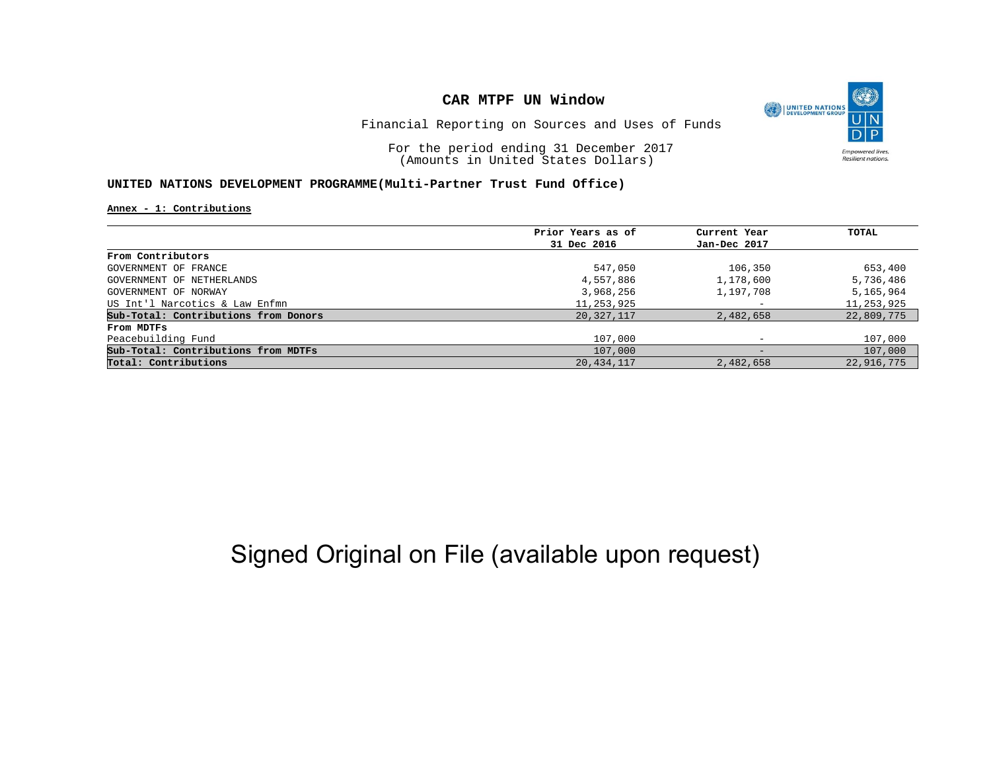

Financial Reporting on Sources and Uses of Funds

For the period ending 31 December 2017 (Amounts in United States Dollars)

#### **UNITED NATIONS DEVELOPMENT PROGRAMME(Multi-Partner Trust Fund Office)**

**Annex - 1: Contributions**

|                                      | Prior Years as of | Current Year             | TOTAL      |
|--------------------------------------|-------------------|--------------------------|------------|
|                                      | 31 Dec 2016       | Jan-Dec 2017             |            |
| From Contributors                    |                   |                          |            |
| GOVERNMENT OF FRANCE                 | 547,050           | 106,350                  | 653,400    |
| GOVERNMENT OF NETHERLANDS            | 4,557,886         | 1,178,600                | 5,736,486  |
| GOVERNMENT OF NORWAY                 | 3,968,256         | 1,197,708                | 5,165,964  |
| US Int'l Narcotics & Law Enfmn       | 11,253,925        | $\overline{\phantom{0}}$ | 11,253,925 |
| Sub-Total: Contributions from Donors | 20,327,117        | 2,482,658                | 22,809,775 |
| From MDTFs                           |                   |                          |            |
| Peacebuilding Fund                   | 107,000           |                          | 107,000    |
| Sub-Total: Contributions from MDTFs  | 107,000           | $\qquad \qquad -$        | 107,000    |
| Total: Contributions                 | 20, 434, 117      | 2,482,658                | 22,916,775 |

## Signed Original on File (available upon request)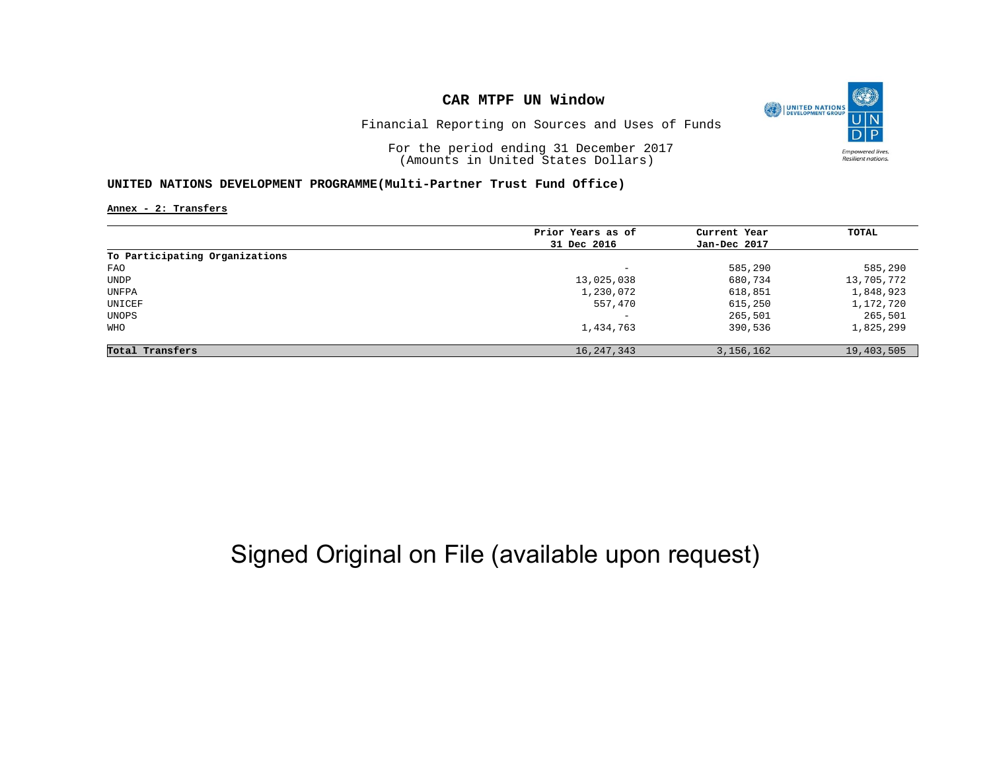

Financial Reporting on Sources and Uses of Funds

For the period ending 31 December 2017 (Amounts in United States Dollars)

#### **UNITED NATIONS DEVELOPMENT PROGRAMME(Multi-Partner Trust Fund Office)**

**Annex - 2: Transfers**

| Prior Years as of        | Current Year | TOTAL      |
|--------------------------|--------------|------------|
| 31 Dec 2016              | Jan-Dec 2017 |            |
|                          |              |            |
| -                        | 585,290      | 585,290    |
| 13,025,038               | 680,734      | 13,705,772 |
| 1,230,072                | 618,851      | 1,848,923  |
| 557,470                  | 615,250      | 1,172,720  |
| $\overline{\phantom{0}}$ | 265,501      | 265,501    |
| 1,434,763                | 390,536      | 1,825,299  |
| 16, 247, 343             | 3, 156, 162  | 19,403,505 |
|                          |              |            |

# Signed Original on File (available upon request)